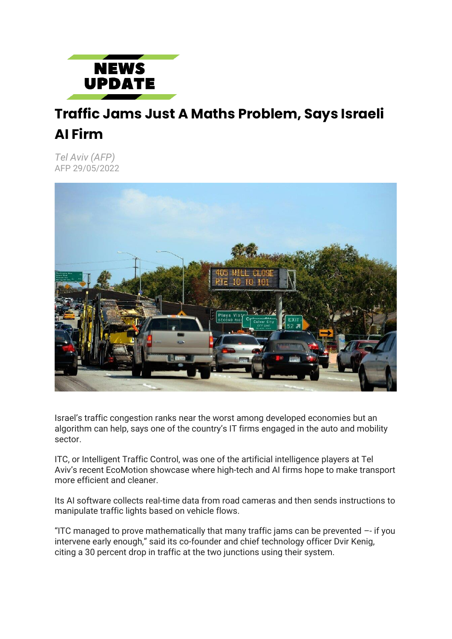

## **Traffic Jams Just A Maths Problem, Says Israeli AI Firm**

*Tel Aviv (AFP)* AFP 29/05/2022



Israel's traffic congestion ranks near the worst among developed economies but an algorithm can help, says one of the country's IT firms engaged in the auto and mobility sector.

ITC, or Intelligent Traffic Control, was one of the artificial intelligence players at Tel Aviv's recent EcoMotion showcase where high-tech and AI firms hope to make transport more efficient and cleaner.

Its AI software collects real-time data from road cameras and then sends instructions to manipulate traffic lights based on vehicle flows.

"ITC managed to prove mathematically that many traffic jams can be prevented –- if you intervene early enough," said its co-founder and chief technology officer Dvir Kenig, citing a 30 percent drop in traffic at the two junctions using their system.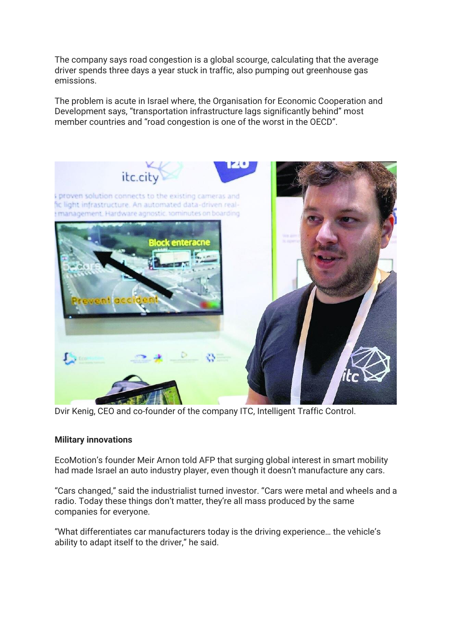The company says road congestion is a global scourge, calculating that the average driver spends three days a year stuck in traffic, also pumping out greenhouse gas emissions.

The problem is acute in Israel where, the Organisation for Economic Cooperation and Development says, "transportation infrastructure lags significantly behind" most member countries and "road congestion is one of the worst in the OECD".



Dvir Kenig, CEO and co-founder of the company ITC, Intelligent Traffic Control.

## **Military innovations**

EcoMotion's founder Meir Arnon told AFP that surging global interest in smart mobility had made Israel an auto industry player, even though it doesn't manufacture any cars.

"Cars changed," said the industrialist turned investor. "Cars were metal and wheels and a radio. Today these things don't matter, they're all mass produced by the same companies for everyone.

"What differentiates car manufacturers today is the driving experience… the vehicle's ability to adapt itself to the driver," he said.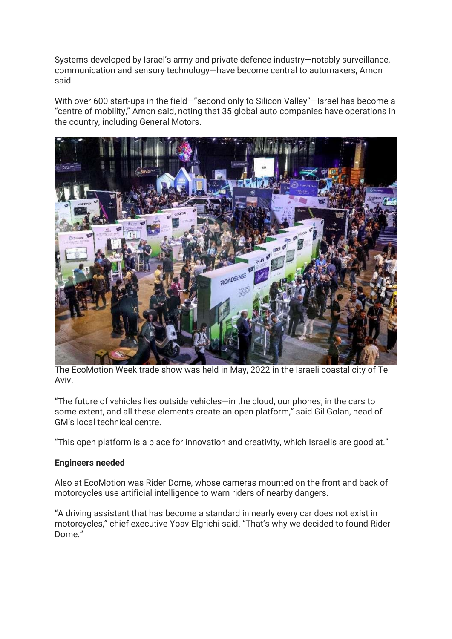Systems developed by Israel's army and private defence industry—notably surveillance, communication and sensory technology—have become central to automakers, Arnon said.

With over 600 start-ups in the field—"second only to Silicon Valley"—Israel has become a "centre of mobility," Arnon said, noting that 35 global auto companies have operations in the country, including General Motors.



The EcoMotion Week trade show was held in May, 2022 in the Israeli coastal city of Tel Aviv.

"The future of vehicles lies outside vehicles—in the cloud, our phones, in the cars to some extent, and all these elements create an open platform," said Gil Golan, head of GM's local technical centre.

"This open platform is a place for innovation and creativity, which Israelis are good at."

## **Engineers needed**

Also at EcoMotion was Rider Dome, whose cameras mounted on the front and back of motorcycles use artificial intelligence to warn riders of nearby dangers.

"A driving assistant that has become a standard in nearly every car does not exist in motorcycles," chief executive Yoav Elgrichi said. "That's why we decided to found Rider Dome."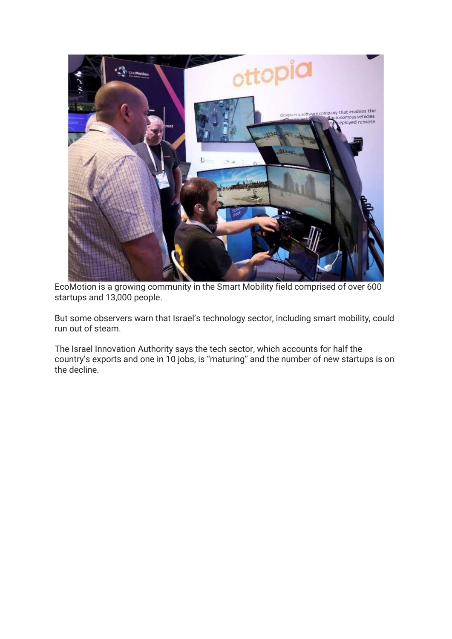

EcoMotion is a growing community in the Smart Mobility field comprised of over 600 startups and 13,000 people.

But some observers warn that Israel's technology sector, including smart mobility, could run out of steam.

The Israel Innovation Authority says the tech sector, which accounts for half the country's exports and one in 10 jobs, is "maturing" and the number of new startups is on the decline.